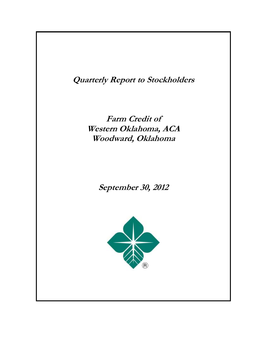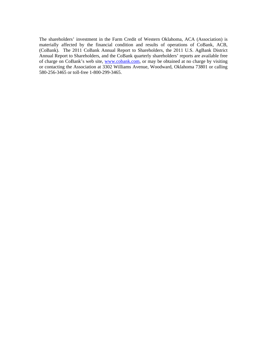The shareholders' investment in the Farm Credit of Western Oklahoma, ACA (Association) is materially affected by the financial condition and results of operations of CoBank, ACB, (CoBank). The 2011 CoBank Annual Report to Shareholders, the 2011 U.S. AgBank District Annual Report to Shareholders, and the CoBank quarterly shareholders' reports are available free of charge on CoBank's web site, www.cobank.com, or may be obtained at no charge by visiting or contacting the Association at 3302 Williams Avenue, Woodward, Oklahoma 73801 or calling 580-256-3465 or toll-free 1-800-299-3465.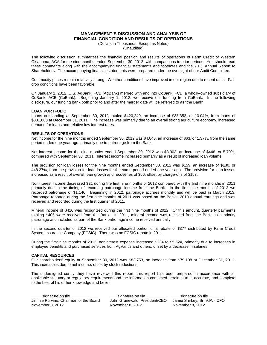# **MANAGEMENT'S DISCUSSION AND ANALYSIS OF FINANCIAL CONDITION AND RESULTS OF OPERATIONS**

(Dollars in Thousands, Except as Noted)

(Unaudited)

The following discussion summarizes the financial position and results of operations of Farm Credit of Western Oklahoma, ACA for the nine months ended September 30, 2012, with comparisons to prior periods. You should read these comments along with the accompanying financial statements and footnotes and the 2011 Annual Report to Shareholders. The accompanying financial statements were prepared under the oversight of our Audit Committee.

Commodity prices remain relatively strong. Weather conditions have improved in our region due to recent rains. Fall crop conditions have been favorable.

On January 1, 2012, U.S. AgBank, FCB (AgBank) merged with and into CoBank, FCB, a wholly-owned subsidiary of CoBank, ACB (CoBank). Beginning January 1, 2012, we receive our funding from CoBank. In the following disclosure, our funding bank both prior to and after the merger date will be referred to as "the Bank".

### **LOAN PORTFOLIO**

Loans outstanding at September 30, 2012 totaled \$420,240, an increase of \$38,352, or 10.04%, from loans of \$381,888 at December 31, 2011. The increase was primarily due to an overall strong agriculture economy, increased demand for loans and relative low interest rates.

### **RESULTS OF OPERATIONS**

Net income for the nine months ended September 30, 2012 was \$4,648, an increase of \$63, or 1.37%, from the same period ended one year ago, primarily due to patronage from the Bank.

Net interest income for the nine months ended September 30, 2012 was \$8,303, an increase of \$448, or 5.70%, compared with September 30, 2011. Interest income increased primarily as a result of increased loan volume.

The provision for loan losses for the nine months ended September 30, 2012 was \$159, an increase of \$130, or 448.27%, from the provision for loan losses for the same period ended one year ago. The provision for loan losses increased as a result of overall loan growth and recoveries of \$66, offset by charge-offs of \$153.

Noninterest income decreased \$21 during the first nine months of 2012 compared with the first nine months in 2011 primarily due to the timing of recording patronage income from the Bank. In the first nine months of 2012 we recorded patronage of \$1,146. Beginning in 2012, patronage accrues monthly and will be paid in March 2013. Patronage reported during the first nine months of 2011 was based on the Bank's 2010 annual earnings and was received and recorded during the first quarter of 2011.

Mineral income of \$410 was recognized during the first nine months of 2012. Of this amount, quarterly payments totaling \$405 were received from the Bank.In 2011, mineral income was received from the Bank as a priority patronage and included as part of the Bank patronage income received annually.

In the second quarter of 2012 we received our allocated portion of a rebate of \$377 distributed by Farm Credit System Insurance Company (FCSIC). There was no FCSIC rebate in 2011.

During the first nine months of 2012, noninterest expense increased \$234 to \$5,524, primarily due to increases in employee benefits and purchased services from AgVantis and others, offset by a decrease in salaries.

### **CAPITAL RESOURCES**

Our shareholders' equity at September 30, 2012 was \$83,753, an increase from \$79,108 at December 31, 2011. This increase is due to net income, offset by stock reductions.

The undersigned certify they have reviewed this report, this report has been prepared in accordance with all applicable statutory or regulatory requirements and the information contained herein is true, accurate, and complete to the best of his or her knowledge and belief.

| signature on file                     | signature on file             | signature on file             |
|---------------------------------------|-------------------------------|-------------------------------|
| Jimmie Purvine, Chairman of the Board | John Grunewald, President/CEO | Jamie Shirkey, Sr. V.P. - CFO |
| November 8, 2012                      | November 8, 2012              | November 8, 2012              |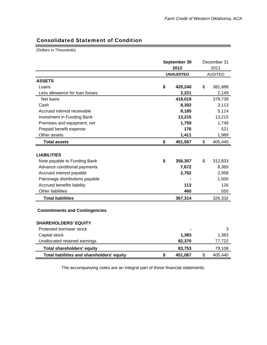۳

# Consolidated Statement of Condition

(Dollars in Thousands)

|                                            |                      | December 31    |         |  |
|--------------------------------------------|----------------------|----------------|---------|--|
|                                            | September 30<br>2012 |                | 2011    |  |
|                                            | <b>UNAUDITED</b>     | <b>AUDITED</b> |         |  |
|                                            |                      |                |         |  |
| <b>ASSETS</b>                              |                      |                |         |  |
| Loans                                      | \$<br>420,240        | \$             | 381,888 |  |
| Less allowance for loan losses             | 2,221                |                | 2,149   |  |
| Net loans                                  | 418,019              |                | 379,739 |  |
| Cash                                       | 8,302                |                | 3,113   |  |
| Accrued interest receivable                | 8,185                |                | 5,114   |  |
| Investment in Funding Bank                 | 13,215               |                | 13,215  |  |
| Premises and equipment, net                | 1,759                |                | 1,749   |  |
| Prepaid benefit expense                    | 176                  |                | 521     |  |
| Other assets                               | 1,411                |                | 1,989   |  |
| <b>Total assets</b>                        | \$<br>451,067        | \$             | 405,440 |  |
|                                            |                      |                |         |  |
| <b>LIABILITIES</b>                         |                      |                |         |  |
| Note payable to Funding Bank               | \$<br>356,307        | \$             | 312,833 |  |
| Advance conditional payments               | 7,672                |                | 8,365   |  |
| Accrued interest payable                   | 2,762                |                | 2,958   |  |
| Patronage distributions payable            |                      |                | 1,500   |  |
| Accrued benefits liability                 | 113                  |                | 126     |  |
| <b>Other liabilities</b>                   | 460                  |                | 550     |  |
| <b>Total liabilities</b>                   | 367,314              |                | 326,332 |  |
| <b>Commitments and Contingencies</b>       |                      |                |         |  |
| <b>SHAREHOLDERS' EQUITY</b>                |                      |                |         |  |
| Protected borrower stock                   |                      |                | 3       |  |
| Capital stock                              | 1,383                |                | 1,383   |  |
| Unallocated retained earnings              | 82,370               |                | 77,722  |  |
| <b>Total shareholders' equity</b>          | 83,753               |                | 79,108  |  |
| Total liabilities and shareholders' equity | \$<br>451,067        | \$             | 405,440 |  |

The accompanying notes are an integral part of these financial statements.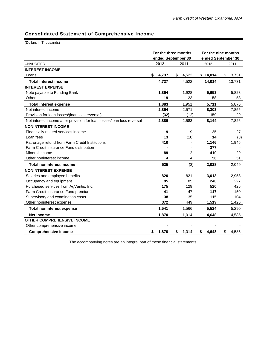# Consolidated Statement of Comprehensive Income

(Dollars in Thousands)

|                                                                        | For the three months<br>ended September 30 |                | For the nine months<br>ended September 30 |          |    |          |  |
|------------------------------------------------------------------------|--------------------------------------------|----------------|-------------------------------------------|----------|----|----------|--|
| <b>UNAUDITED</b>                                                       | 2012                                       | 2011           |                                           | 2012     |    | 2011     |  |
| <b>INTEREST INCOME</b>                                                 |                                            |                |                                           |          |    |          |  |
| Loans                                                                  | \$<br>4,737                                | \$<br>4,522    |                                           | \$14,014 |    | \$13,731 |  |
| <b>Total interest income</b>                                           | 4,737                                      | 4,522          |                                           | 14,014   |    | 13,731   |  |
| <b>INTEREST EXPENSE</b>                                                |                                            |                |                                           |          |    |          |  |
| Note payable to Funding Bank                                           | 1,864                                      | 1,928          |                                           | 5,653    |    | 5,823    |  |
| Other                                                                  | 19                                         | 23             |                                           | 58       |    | 53       |  |
| <b>Total interest expense</b>                                          | 1,883                                      | 1,951          |                                           | 5,711    |    | 5,876    |  |
| Net interest income                                                    | 2,854                                      | 2,571          |                                           | 8,303    |    | 7,855    |  |
| Provision for loan losses/(loan loss reversal)                         | (32)                                       | (12)           |                                           | 159      |    | 29       |  |
| Net interest income after provision for loan losses/loan loss reversal | 2,886                                      | 2,583          |                                           | 8,144    |    | 7,826    |  |
| <b>NONINTEREST INCOME</b>                                              |                                            |                |                                           |          |    |          |  |
| Financially related services income                                    | 9                                          | 9              |                                           | 25       |    | 27       |  |
| Loan fees                                                              | 13                                         | (18)           |                                           | 14       |    | (3)      |  |
| Patronage refund from Farm Credit Institutions                         | 410                                        |                |                                           | 1,146    |    | 1,945    |  |
| Farm Credit Insurance Fund distribution                                |                                            |                |                                           | 377      |    |          |  |
| Mineral income                                                         | 89                                         | $\overline{c}$ |                                           | 410      |    | 29       |  |
| Other noninterest income                                               | 4                                          | 4              |                                           | 56       |    | 51       |  |
| <b>Total noninterest income</b>                                        | 525                                        | (3)            |                                           | 2,028    |    | 2,049    |  |
| <b>NONINTEREST EXPENSE</b>                                             |                                            |                |                                           |          |    |          |  |
| Salaries and employee benefits                                         | 820                                        | 821            |                                           | 3,013    |    | 2,958    |  |
| Occupancy and equipment                                                | 95                                         | 85             |                                           | 240      |    | 227      |  |
| Purchased services from AgVantis, Inc.                                 | 175                                        | 129            |                                           | 520      |    | 425      |  |
| Farm Credit Insurance Fund premium                                     | 41                                         | 47             |                                           | 117      |    | 150      |  |
| Supervisory and examination costs                                      | 38                                         | 35             |                                           | 115      |    | 104      |  |
| Other noninterest expense                                              | 372                                        | 449            |                                           | 1,519    |    | 1,426    |  |
| <b>Total noninterest expense</b>                                       | 1,541                                      | 1,566          |                                           | 5,524    |    | 5,290    |  |
| <b>Net income</b>                                                      | 1,870                                      | 1,014          |                                           | 4,648    |    | 4,585    |  |
| <b>OTHER COMPREHENSIVE INCOME</b>                                      |                                            |                |                                           |          |    |          |  |
| Other comprehensive income                                             |                                            |                |                                           |          |    |          |  |
| <b>Comprehensive income</b>                                            | \$<br>1,870                                | \$<br>1,014    | \$                                        | 4,648    | \$ | 4,585    |  |

The accompanying notes are an integral part of these financial statements.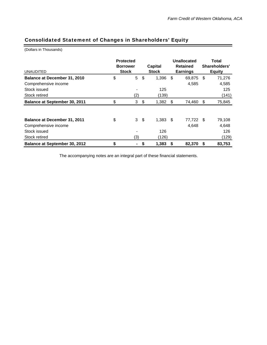# Consolidated Statement of Changes in Shareholders' Equity

(Dollars in Thousands)

| <b>UNAUDITED</b>                    | <b>Protected</b><br><b>Borrower</b><br><b>Stock</b> |                |     | <b>Capital</b><br><b>Stock</b> |    | Unallocated<br><b>Retained</b><br><b>Earnings</b> | Total<br>Shareholders'<br><b>Equity</b> |        |  |
|-------------------------------------|-----------------------------------------------------|----------------|-----|--------------------------------|----|---------------------------------------------------|-----------------------------------------|--------|--|
| <b>Balance at December 31, 2010</b> | \$                                                  | $\overline{5}$ | \$  | 1,396                          | \$ | 69,875                                            | -\$                                     | 71,276 |  |
| Comprehensive income                |                                                     |                |     |                                |    | 4,585                                             |                                         | 4,585  |  |
| Stock issued                        |                                                     |                |     | 125                            |    |                                                   |                                         | 125    |  |
| Stock retired                       |                                                     | (2)            |     | (139)                          |    |                                                   |                                         | (141)  |  |
| Balance at September 30, 2011       | \$                                                  | 3              | \$  | 1,382                          | S  | 74,460                                            | - \$                                    | 75,845 |  |
|                                     |                                                     |                |     |                                |    |                                                   |                                         |        |  |
| Balance at December 31, 2011        | \$                                                  | 3              | -\$ | $1,383$ \$                     |    | 77,722                                            | - \$                                    | 79,108 |  |
| Comprehensive income                |                                                     |                |     |                                |    | 4,648                                             |                                         | 4,648  |  |
| Stock issued                        |                                                     |                |     | 126                            |    |                                                   |                                         | 126    |  |
| Stock retired                       |                                                     | (3)            |     | (126)                          |    |                                                   |                                         | (129)  |  |
| Balance at September 30, 2012       | \$                                                  | ۰              | \$  | 1,383                          | S  | 82,370                                            | S                                       | 83,753 |  |

The accompanying notes are an integral part of these financial statements.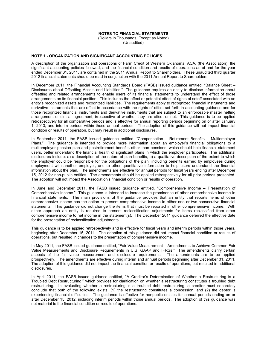#### **NOTES TO FINANCIAL STATEMENTS**

(Dollars in Thousands, Except as Noted) (Unaudited)

#### **NOTE 1 - ORGANIZATION AND SIGNIFICANT ACCOUNTING POLICIES**

A description of the organization and operations of Farm Credit of Western Oklahoma, ACA, (the Association), the significant accounting policies followed, and the financial condition and results of operations as of and for the year ended December 31, 2011, are contained in the 2011 Annual Report to Shareholders. These unaudited third quarter 2012 financial statements should be read in conjunction with the 2011 Annual Report to Shareholders.

In December 2011, the Financial Accounting Standards Board (FASB) issued guidance entitled, "Balance Sheet – Disclosures about Offsetting Assets and Liabilities." The guidance requires an entity to disclose information about offsetting and related arrangements to enable users of its financial statements to understand the effect of those arrangements on its financial position. This includes the effect or potential effect of rights of setoff associated with an entity's recognized assets and recognized liabilities. The requirements apply to recognized financial instruments and derivative instruments that are offset in accordance with the rights of offset set forth in accounting guidance and for those recognized financial instruments and derivative instruments that are subject to an enforceable master netting arrangement or similar agreement, irrespective of whether they are offset or not. This guidance is to be applied retrospectively for all comparative periods and is effective for annual reporting periods beginning on or after January 1, 2013, and interim periods within those annual periods. The adoption of this guidance will not impact financial condition or results of operation, but may result in additional disclosures.

In September 2011, the FASB issued guidance entitled, "Compensation – Retirement Benefits – Multiemployer Plans." The guidance is intended to provide more information about an employer's financial obligations to a multiemployer pension plan and postretirement benefits other than pensions, which should help financial statement users, better understand the financial health of significant plans in which the employer participates. The additional disclosures include: a) a description of the nature of plan benefits, b) a qualitative description of the extent to which the employer could be responsible for the obligations of the plan, including benefits earned by employees during employment with another employer, and c) other quantitative information to help users understand the financial information about the plan. The amendments are effective for annual periods for fiscal years ending after December 15, 2012 for non-public entities. The amendments should be applied retrospectively for all prior periods presented. The adoption will not impact the Association's financial condition or results of operation.

In June and December 2011, the FASB issued guidance entitled, "Comprehensive Income – Presentation of Comprehensive Income." This guidance is intended to increase the prominence of other comprehensive income in financial statements. The main provisions of the guidance provides that an entity that reports items of other comprehensive income has the option to present comprehensive income in either one or two consecutive financial statements. This guidance did not change the items that must be reported in other comprehensive income. With either approach an entity is required to present reclassification adjustments for items reclassified from other comprehensive income to net income in the statement(s). The December 2011 guidance deferred the effective date for the presentation of reclassification adjustments.

This guidance is to be applied retrospectively and is effective for fiscal years and interim periods within those years, beginning after December 15, 2011. The adoption of this guidance did not impact financial condition or results of operations, but resulted in changes to the presentation of comprehensive income.

In May 2011, the FASB issued guidance entitled, "Fair Value Measurement – Amendments to Achieve Common Fair Value Measurements and Disclosure Requirements in U.S. GAAP and IFRSs." The amendments clarify certain aspects of the fair value measurement and disclosure requirements. The amendments are to be applied prospectively. The amendments are effective during interim and annual periods beginning after December 31, 2011. The adoption of this guidance did not impact the financial condition or results of operations, but resulted in additional disclosures.

In April 2011, the FASB issued guidance entitled, "A Creditor's Determination of Whether a Restructuring is a Troubled Debt Restructuring," which provides for clarification on whether a restructuring constitutes a troubled debt restructuring. In evaluating whether a restructuring is a troubled debt restructuring, a creditor must separately conclude that both of the following exists: (1) the restructuring constitutes a concession, and (2) the debtor is experiencing financial difficulties. The guidance is effective for nonpublic entities for annual periods ending on or after December 15, 2012, including interim periods within those annual periods. The adoption of this guidance was not material to the financial condition or results of operations.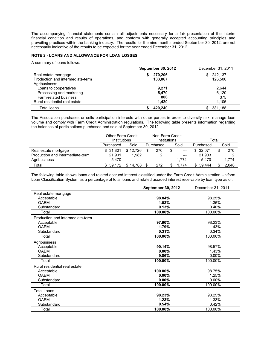The accompanying financial statements contain all adjustments necessary for a fair presentation of the interim financial condition and results of operations, and conform with generally accepted accounting principles and prevailing practices within the banking industry. The results for the nine months ended September 30, 2012, are not necessarily indicative of the results to be expected for the year ended December 31, 2012.

# **NOTE 2 - LOANS AND ALLOWANCE FOR LOAN LOSSES**

A summary of loans follows.

|                                  | <b>September 30, 2012</b> | December 31, 2011 |  |  |
|----------------------------------|---------------------------|-------------------|--|--|
| Real estate mortgage             | 270.206                   | 242.137<br>SS.    |  |  |
| Production and intermediate-term | 133.067                   | 126,506           |  |  |
| Agribusiness:                    |                           |                   |  |  |
| Loans to cooperatives            | 9.271                     | 2,644             |  |  |
| Processing and marketing         | 5,470                     | 6,120             |  |  |
| Farm-related business            | 806                       | 375               |  |  |
| Rural residential real estate    | 1,420                     | 4,106             |  |  |
| Total loans                      | 420,240                   | 381,188           |  |  |

The Association purchases or sells participation interests with other parties in order to diversify risk, manage loan volume and comply with Farm Credit Administration regulations. The following table presents information regarding the balances of participations purchased and sold at September 30, 2012:

|                                  | <b>Other Farm Credit</b><br>Institutions |          |                   | Non-Farm Credit<br>Institutions |  |           | Total        |      |       |  |
|----------------------------------|------------------------------------------|----------|-------------------|---------------------------------|--|-----------|--------------|------|-------|--|
|                                  | Purchased                                | Sold     | Sold<br>Purchased |                                 |  | Purchased |              | Sold |       |  |
| Real estate mortgage             | \$ 31.801                                | \$12.726 |                   | 270                             |  | $---$     | 32.071<br>S. | \$   | 270   |  |
| Production and intermediate-term | 21.901                                   | 1.982    |                   |                                 |  | $---$     | 21.903       |      |       |  |
| Agribusiness                     | 5.470                                    | $---$    |                   | $---$                           |  | 1.774     | 5.470        |      | 1,774 |  |
| Total                            | 59.172                                   | 14.708   |                   | 272                             |  | 774       | 59.444       |      | 2.046 |  |

The following table shows loans and related accrued interest classified under the Farm Credit Administration Uniform Loan Classification System as a percentage of total loans and related accrued interest receivable by loan type as of:

|                                  | <b>September 30, 2012</b> | December 31, 2011 |
|----------------------------------|---------------------------|-------------------|
| Real estate mortgage             |                           |                   |
| Acceptable                       | 98.84%                    | 98.25%            |
| <b>OAEM</b>                      | 1.03%                     | 1.35%             |
| Substandard                      | 0.13%                     | 0.40%             |
| Total                            | 100.00%                   | 100.00%           |
| Production and intermediate-term |                           |                   |
| Acceptable                       | 97.90%                    | 98.23%            |
| <b>OAFM</b>                      | 1.79%                     | 1.43%             |
| Substandard                      | 0.31%                     | 0.34%             |
| Total                            | 100.00%                   | 100.00%           |
| Agribusiness                     |                           |                   |
| Acceptable                       | 90.14%                    | 98.57%            |
| <b>OAEM</b>                      | $0.00\%$                  | 1.43%             |
| Substandard                      | 9.86%                     | $0.00\%$          |
| Total                            | 100.00%                   | 100.00%           |
| Rural residential real estate    |                           |                   |
| Acceptable                       | 100.00%                   | 98.75%            |
| <b>OAFM</b>                      | $0.00\%$                  | 1.25%             |
| Substandard                      | $0.00\%$                  | $0.00\%$          |
| Total                            | 100.00%                   | 100.00%           |
| <b>Total Loans</b>               |                           |                   |
| Acceptable                       | 98.23%                    | 98.25%            |
| <b>OAFM</b>                      | 1.23%                     | 1.33%             |
| Substandard                      | 0.54%                     | 0.42%             |
| Total                            | 100.00%                   | 100.00%           |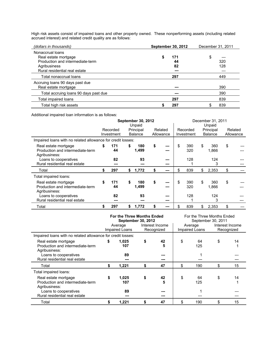High risk assets consist of impaired loans and other property owned. These nonperforming assets (including related accrued interest) and related credit quality are as follows:

| (dollars in thousands)                                                                                                        | <b>September 30, 2012</b> | December 31, 2011 |
|-------------------------------------------------------------------------------------------------------------------------------|---------------------------|-------------------|
| Nonaccrual loans<br>Real estate mortgage<br>Production and intermediate-term<br>Agribusiness<br>Rural residential real estate | 171<br>44<br>82<br>---    | \$<br>320<br>128  |
| Total nonaccrual loans                                                                                                        | 297                       | 449               |
| Accruing loans 90 days past due<br>Real estate mortgage                                                                       | ---                       | 390               |
| Total accruing loans 90 days past due                                                                                         | ---                       | 390               |
| Total impaired loans                                                                                                          | 297                       | 839               |
| Total high risk assets                                                                                                        | 297                       | 839<br>S          |

Additional impaired loan information is as follows:

|                                                             |    |            | <b>September 30, 2012</b> |           | December 31, 2011 |            |    |                |    |           |
|-------------------------------------------------------------|----|------------|---------------------------|-----------|-------------------|------------|----|----------------|----|-----------|
|                                                             |    |            | Unpaid                    |           |                   |            |    | Unpaid         |    |           |
|                                                             |    | Recorded   | Principal                 | Related   |                   | Recorded   |    | Principal      |    | Related   |
|                                                             |    | Investment | <b>Balance</b>            | Allowance |                   | Investment |    | <b>Balance</b> |    | Allowance |
| Impaired loans with no related allowance for credit losses: |    |            |                           |           |                   |            |    |                |    |           |
| Real estate mortgage                                        | \$ | 171        | \$<br>180                 | \$<br>--- | \$                | 390        | \$ | 360            | \$ |           |
| Production and intermediate-term                            |    | 44         | 1,499                     | ---       |                   | 320        |    | 1,866          |    |           |
| Agribusiness:                                               |    |            |                           |           |                   |            |    |                |    |           |
| Loans to cooperatives                                       |    | 82         | 93                        | ---       |                   | 128        |    | 124            |    |           |
| Rural residential real estate                               |    | ---        |                           | ---       |                   |            |    | 3              |    |           |
| Total                                                       | S  | 297        | \$<br>1,772               | \$<br>--- | \$                | 839        | \$ | 2,353          | \$ |           |
| Total impaired loans:                                       |    |            |                           |           |                   |            |    |                |    |           |
| Real estate mortgage                                        | \$ | 171        | \$<br>180                 | \$<br>--- | \$                | 390        | \$ | 360            | \$ |           |
| Production and intermediate-term                            |    | 44         | 1,499                     | ---       |                   | 320        |    | 1,866          |    |           |
| Agribusiness:                                               |    |            |                           |           |                   |            |    |                |    |           |
| Loans to cooperatives                                       |    | 82         | 93                        | ---       |                   | 128        |    | 124            |    |           |
| Rural residential real estate                               |    | ---        | ---                       | ---       |                   |            |    | 3              |    |           |
| Total                                                       |    | 297        | \$<br>1,772               | ---       | S                 | 839        | S  | 2,353          | \$ |           |

|                                                             |                            | For the Three Months Ended<br><b>September 30, 2012</b> |    |            | For the Three Months Ended<br>September 30, 2011 |                |            |    |
|-------------------------------------------------------------|----------------------------|---------------------------------------------------------|----|------------|--------------------------------------------------|----------------|------------|----|
|                                                             | Interest Income<br>Average |                                                         |    |            | Interest Income<br>Average                       |                |            |    |
|                                                             |                            | Impaired Loans                                          |    | Recognized |                                                  | Impaired Loans | Recognized |    |
| Impaired loans with no related allowance for credit losses: |                            |                                                         |    |            |                                                  |                |            |    |
| Real estate mortgage                                        | \$                         | 1,025                                                   | \$ | 42         | \$                                               | 64             | \$         | 14 |
| Production and intermediate-term                            |                            | 107                                                     |    | 5          |                                                  | 125            |            |    |
| Agribusiness:                                               |                            |                                                         |    |            |                                                  |                |            |    |
| Loans to cooperatives                                       |                            | 89                                                      |    |            |                                                  |                |            |    |
| Rural residential real estate                               |                            | ---                                                     |    |            |                                                  |                |            |    |
| Total                                                       | S                          | 1,221                                                   | \$ | 47         | \$                                               | 190            | \$         | 15 |
| Total impaired loans:                                       |                            |                                                         |    |            |                                                  |                |            |    |
| Real estate mortgage                                        | \$                         | 1,025                                                   | \$ | 42         | \$                                               | 64             | \$         | 14 |
| Production and intermediate-term                            |                            | 107                                                     |    | 5          |                                                  | 125            |            |    |
| Agribusiness:                                               |                            |                                                         |    |            |                                                  |                |            |    |
| Loans to cooperatives                                       |                            | 89                                                      |    |            |                                                  |                |            |    |
| Rural residential real estate                               |                            | ---                                                     |    |            |                                                  |                |            |    |
| Total                                                       |                            | 1,221                                                   | \$ | 47         | \$                                               | 190            | \$         | 15 |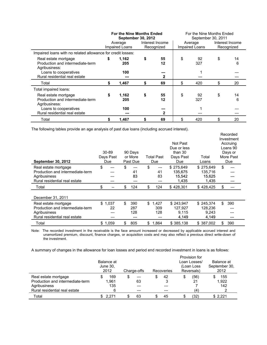|                                                                           |    | For the Nine Months Ended<br>September 30, 2012<br>Average<br>Impaired Loans | Interest Income<br>Recognized | September 30, 2011<br>Average<br>Impaired Loans | For the Nine Months Ended<br>Interest Income<br>Recognized |         |  |
|---------------------------------------------------------------------------|----|------------------------------------------------------------------------------|-------------------------------|-------------------------------------------------|------------------------------------------------------------|---------|--|
| Impaired loans with no related allowance for credit losses:               |    |                                                                              |                               |                                                 |                                                            |         |  |
| Real estate mortgage<br>Production and intermediate-term<br>Agribusiness: | S  | 1,162<br>205                                                                 | \$<br>55<br>12                | \$<br>92<br>327                                 | \$                                                         | 14<br>6 |  |
| Loans to cooperatives<br>Rural residential real estate                    |    | 100<br>---                                                                   | ---<br>2                      |                                                 |                                                            |         |  |
| Total                                                                     | S  | 1.467                                                                        | \$<br>69                      | \$<br>420                                       | \$                                                         | 20      |  |
| Total impaired loans:                                                     |    |                                                                              |                               |                                                 |                                                            |         |  |
| Real estate mortgage<br>Production and intermediate-term<br>Agribusiness: | \$ | 1,162<br>205                                                                 | \$<br>55<br>12                | \$<br>92<br>327                                 | \$                                                         | 14<br>6 |  |
| Loans to cooperatives<br>Rural residential real estate                    |    | 100                                                                          | ---<br>2                      |                                                 |                                                            |         |  |
| Total                                                                     |    | 1,467                                                                        | 69                            | \$<br>420                                       | S                                                          | 20      |  |

The following tables provide an age analysis of past due loans (including accrued interest).

| <b>September 30, 2012</b>        | 30-89<br>Days Past<br>Due | 90 Days<br>or More<br>Past Due | Total Past<br>Due | Not Past<br>Due or less<br>than 30<br>Days Past<br>Due | Total<br>Loans | Recorded<br>Investment<br>Accruing<br>Loans 90<br>Days or<br>More Past<br>Due |
|----------------------------------|---------------------------|--------------------------------|-------------------|--------------------------------------------------------|----------------|-------------------------------------------------------------------------------|
| Real estate mortgage             | \$                        | \$                             | \$<br>---         | \$275,649                                              | \$275,649      | \$                                                                            |
| Production and intermediate-term |                           | 41                             | 41                | 135,675                                                | 135,716        |                                                                               |
| Agribusiness                     |                           | 83                             | 83                | 15,542                                                 | 15,625         |                                                                               |
| Rural residential real estate    |                           | ---                            | ---               | 1,435                                                  | 1,435          |                                                                               |
| Total                            | \$<br>--                  | \$<br>124                      | \$<br>124         | \$428,301                                              | \$428,425      | \$                                                                            |
| December 31, 2011                |                           |                                |                   |                                                        |                |                                                                               |
| Real estate mortgage             | \$1.037                   | \$<br>390                      | \$<br>1,427       | \$243.947                                              | \$245,374      | \$.<br>390                                                                    |
| Production and intermediate-term | 22                        | 287                            | 309               | 127.927                                                | 128.236        |                                                                               |
| Agribusiness                     |                           | 128                            | 128               | 9,115                                                  | 9,243          |                                                                               |
| Rural residential real estate    | ---                       | ---                            | ---               | 4,149                                                  | 4,149          | ---                                                                           |
| Total                            | 1,059<br>\$               | 805<br>\$                      | 1.864<br>\$       | \$385,138                                              | \$387,002      | 390<br>\$                                                                     |

Note: The recorded investment in the receivable is the face amount increased or decreased by applicable accrued interest and unamortized premium, discount, finance charges, or acquisition costs and may also reflect a previous direct write-down of the investment.

A summary of changes in the allowance for loan losses and period end recorded investment in loans is as follows:

|                                  | Balance at<br>June 30,<br>2012 | Charge-offs | Recoveries | Provision for<br>Loan Losses/<br>(Loan Loss<br>Reversals) | Balance at<br>September 30,<br>2012 |  |
|----------------------------------|--------------------------------|-------------|------------|-----------------------------------------------------------|-------------------------------------|--|
| Real estate mortgage             | 169                            |             | 42         | (56)                                                      | 155                                 |  |
| Production and intermediate-term | 1,961                          | 63          | 3          | 21                                                        | 1,922                               |  |
| Agribusiness                     | 135                            | ---         |            |                                                           | 142                                 |  |
| Rural residential real estate    | 6                              | ---         |            | (4)                                                       |                                     |  |
| Total                            | 2.271                          | 63          | 45         | (32)                                                      | \$2.221                             |  |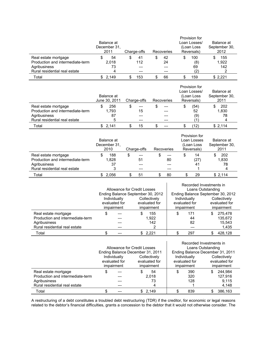|                                  | Balance at<br>December 31.<br>2011<br>Charge-offs |         |     |     |    | Recoveries |  | Provision for<br>Loan Losses/<br>(Loan Loss<br>Reversals) | Balance at<br>September 30,<br>2012 |         |  |
|----------------------------------|---------------------------------------------------|---------|-----|-----|----|------------|--|-----------------------------------------------------------|-------------------------------------|---------|--|
| Real estate mortgage             |                                                   | 54      | \$  | 41  |    | 42         |  | 100                                                       |                                     | 155     |  |
| Production and intermediate-term | 2.018                                             |         | 112 |     | 24 |            |  | (8)                                                       |                                     | 1.922   |  |
| Agribusiness                     |                                                   | 73      |     |     |    |            |  | 69                                                        |                                     | 142     |  |
| Rural residential real estate    |                                                   | 4       |     | --- |    |            |  | (2)                                                       |                                     |         |  |
| Total                            |                                                   | \$2.149 |     | 153 |    | 66         |  | 159                                                       |                                     | \$2.221 |  |

|                                  | Balance at    | Charge-offs |            | Provision for<br>Loan Losses/<br>(Loan Loss | Balance at<br>September 30, |  |
|----------------------------------|---------------|-------------|------------|---------------------------------------------|-----------------------------|--|
|                                  | June 30, 2011 |             | Recoveries | Reversals)                                  | 2011                        |  |
| Real estate mortgage             | 256           | \$<br>---   |            | (54)<br>S                                   | 202                         |  |
| Production and intermediate-term | 1.793         | 15          |            | 52                                          | 1.830                       |  |
| Agribusiness                     | 87            | ---         |            | (9)                                         | 78                          |  |
| Rural residential real estate    | 5             | $---$       |            |                                             |                             |  |
| Total                            | \$2,141       | 15          |            | 12)                                         | \$2,114                     |  |

|                                                                          | Balance at<br>December 31.<br>2010 | Charge-offs     | Recoveries               | Provision for<br>Loan Losses<br>(Loan Loss<br>Reversals) | Balance at<br>September 30,<br>2011 |  |
|--------------------------------------------------------------------------|------------------------------------|-----------------|--------------------------|----------------------------------------------------------|-------------------------------------|--|
| Real estate mortgage<br>Production and intermediate-term<br>Agribusiness | 188<br>S<br>1.828<br>37            | \$<br>---<br>51 | \$<br>$---$<br>80<br>--- | \$<br>14<br>(27)<br>41                                   | 202<br>1,830<br>78                  |  |
| Rural residential real estate                                            | 3                                  | ---             | ---                      |                                                          |                                     |  |
| Total                                                                    | 2.056                              | 51              | 80                       | 29                                                       | \$2,114                             |  |

|                                                                                                           |                                                                                            | Allowance for Credit Losses<br>Ending Balance September 30, 2012 |   |                     | Recorded Investments in<br>Loans Outstanding<br>Ending Balance September 30, 2012 |                                             |     |                                       |  |  |
|-----------------------------------------------------------------------------------------------------------|--------------------------------------------------------------------------------------------|------------------------------------------------------------------|---|---------------------|-----------------------------------------------------------------------------------|---------------------------------------------|-----|---------------------------------------|--|--|
|                                                                                                           | Individually<br>Collectively<br>evaluated for<br>evaluated for<br>impairment<br>impairment |                                                                  |   |                     | Individually<br>evaluated for<br>impairment                                       | Collectively<br>evaluated for<br>impairment |     |                                       |  |  |
| Real estate mortgage<br>Production and intermediate-term<br>Agribusiness<br>Rural residential real estate |                                                                                            | ---                                                              | S | 155<br>1,922<br>142 | \$                                                                                | 171<br>44<br>82                             | \$. | 275.478<br>135.672<br>15.543<br>1,435 |  |  |
| Total                                                                                                     |                                                                                            |                                                                  |   | 2,221               |                                                                                   | 297                                         |     | 428.128                               |  |  |

|                                  |                              | Allowance for Credit Losses      |               | Recorded Investments in<br>Loans Outstanding |    |               |                             |         |
|----------------------------------|------------------------------|----------------------------------|---------------|----------------------------------------------|----|---------------|-----------------------------|---------|
|                                  |                              | Ending Balance December 31, 2011 |               | Ending Balance December 31, 2011             |    |               |                             |         |
|                                  | Individually<br>Collectively |                                  |               | Individually                                 |    |               | Collectively                |         |
|                                  | evaluated for<br>impairment  |                                  | evaluated for |                                              |    | evaluated for | evaluated for<br>impairment |         |
|                                  |                              |                                  |               | impairment                                   |    | impairment    |                             |         |
| Real estate mortgage             |                              |                                  |               | 54                                           | \$ | 390           | S.                          | 244.984 |
| Production and intermediate-term |                              |                                  |               | 2.018                                        |    | 320           |                             | 127.916 |
| Agribusiness                     |                              |                                  |               | 73                                           |    | 128           |                             | 9.115   |
| Rural residential real estate    |                              |                                  |               | 4                                            |    |               |                             | 4,148   |
| Total                            |                              |                                  |               | \$2,149                                      |    | 839           |                             | 386,163 |

A restructuring of a debt constitutes a troubled debt restructuring (TDR) if the creditor, for economic or legal reasons related to the debtor's financial difficulties, grants a concession to the debtor that it would not otherwise consider. The